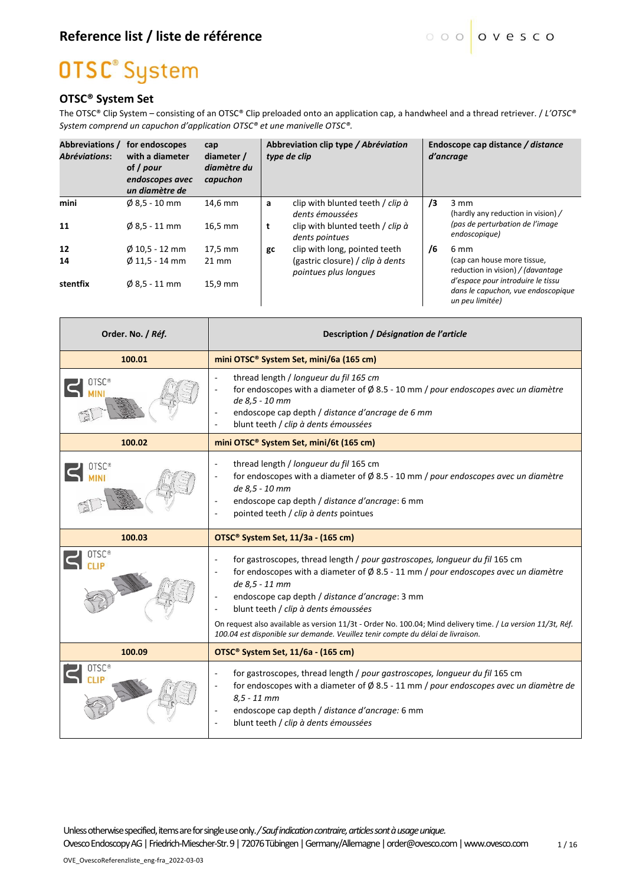### **OTSC<sup>®</sup>** System

#### **OTSC® System Set**

The OTSC® Clip System – consisting of an OTSC® Clip preloaded onto an application cap, a handwheel and a thread retriever. / *L'OTSC® System comprend un capuchon d'application OTSC® et une manivelle OTSC®.*

| <b>Abbreviations /</b><br><b>Abréviations:</b> | for endoscopes<br>with a diameter<br>of / pour<br>endoscopes avec<br>un diamètre de | cap<br>diameter /<br>diamètre du<br>capuchon |        | Abbreviation clip type / Abréviation<br>type de clip                                                         |    | Endoscope cap distance / distance<br>d'ancrage                                                             |
|------------------------------------------------|-------------------------------------------------------------------------------------|----------------------------------------------|--------|--------------------------------------------------------------------------------------------------------------|----|------------------------------------------------------------------------------------------------------------|
| mini<br>11                                     | $\emptyset$ 8,5 - 10 mm<br>$\emptyset$ 8,5 - 11 mm                                  | 14.6 mm<br>16.5 mm                           | a<br>t | clip with blunted teeth / clip à<br>dents émoussées<br>clip with blunted teeth / clip à                      | /3 | $3 \, \text{mm}$<br>(hardly any reduction in vision) /<br>(pas de perturbation de l'image<br>endoscopique) |
| 12<br>14                                       | $\emptyset$ 10,5 - 12 mm<br>$\emptyset$ 11.5 - 14 mm                                | 17,5 mm<br>$21 \text{ mm}$                   | gc     | dents pointues<br>clip with long, pointed teeth<br>(gastric closure) / clip à dents<br>pointues plus longues | /6 | 6 mm<br>(cap can house more tissue,<br>reduction in vision) / (davantage                                   |
| stentfix                                       | $\emptyset$ 8,5 - 11 mm                                                             | 15.9 mm                                      |        |                                                                                                              |    | d'espace pour introduire le tissu<br>dans le capuchon, vue endoscopique<br>un peu limitée)                 |

| Order. No. / Réf. | Description / Désignation de l'article                                                                                                                                                                                                                                                                                                                                                                                                                                                                                                          |
|-------------------|-------------------------------------------------------------------------------------------------------------------------------------------------------------------------------------------------------------------------------------------------------------------------------------------------------------------------------------------------------------------------------------------------------------------------------------------------------------------------------------------------------------------------------------------------|
| 100.01            | mini OTSC® System Set, mini/6a (165 cm)                                                                                                                                                                                                                                                                                                                                                                                                                                                                                                         |
| 0TSC <sup>®</sup> | thread length / longueur du fil 165 cm<br>for endoscopes with a diameter of $\varnothing$ 8.5 - 10 mm / pour endoscopes avec un diamètre<br>de 8,5 - 10 mm<br>endoscope cap depth / distance d'ancrage de 6 mm<br>blunt teeth / clip à dents émoussées<br>÷,                                                                                                                                                                                                                                                                                    |
| 100.02            | mini OTSC <sup>®</sup> System Set, mini/6t (165 cm)                                                                                                                                                                                                                                                                                                                                                                                                                                                                                             |
| <b>OTSC®</b>      | thread length / longueur du fil 165 cm<br>÷,<br>for endoscopes with a diameter of $\varnothing$ 8.5 - 10 mm / pour endoscopes avec un diamètre<br>÷,<br>de 8,5 - 10 mm<br>endoscope cap depth / distance d'ancrage: 6 mm<br>$\overline{a}$<br>pointed teeth / clip à dents pointues                                                                                                                                                                                                                                                             |
|                   |                                                                                                                                                                                                                                                                                                                                                                                                                                                                                                                                                 |
| 100.03            | OTSC <sup>®</sup> System Set, 11/3a - (165 cm)                                                                                                                                                                                                                                                                                                                                                                                                                                                                                                  |
| <b>OTSC®</b>      | for gastroscopes, thread length / pour gastroscopes, longueur du fil 165 cm<br>÷,<br>for endoscopes with a diameter of $\varnothing$ 8.5 - 11 mm / pour endoscopes avec un diamètre<br>$\overline{a}$<br>de 8,5 - 11 mm<br>endoscope cap depth / distance d'ancrage: 3 mm<br>blunt teeth / clip à dents émoussées<br>$\overline{\phantom{a}}$<br>On request also available as version 11/3t - Order No. 100.04; Mind delivery time. / La version 11/3t, Réf.<br>100.04 est disponible sur demande. Veuillez tenir compte du délai de livraison. |
| 100.09            | OTSC <sup>®</sup> System Set, 11/6a - (165 cm)                                                                                                                                                                                                                                                                                                                                                                                                                                                                                                  |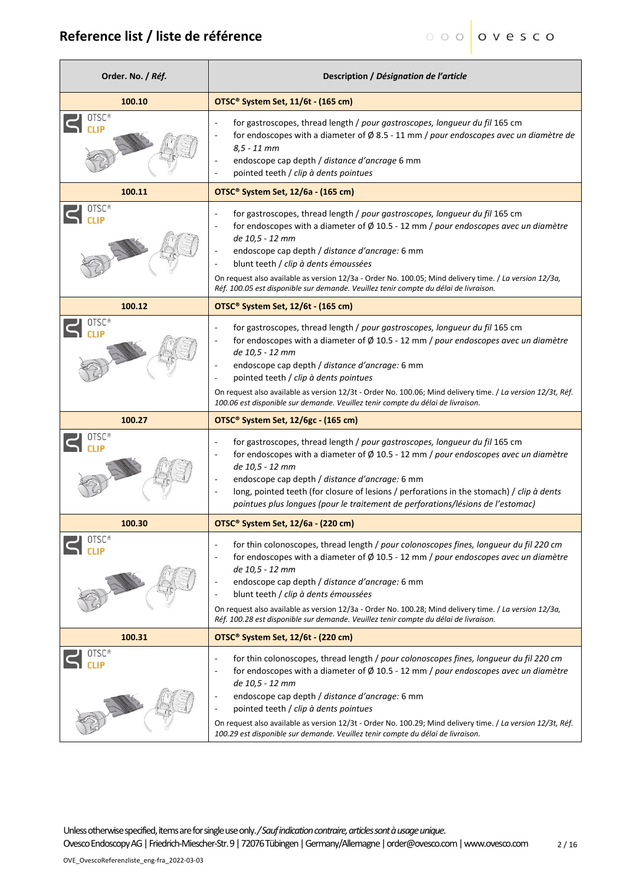| Order. No. / Réf. | Description / Désignation de l'article                                                                                                                                                                                                                                                                                                                                                                                                                                                                                                               |
|-------------------|------------------------------------------------------------------------------------------------------------------------------------------------------------------------------------------------------------------------------------------------------------------------------------------------------------------------------------------------------------------------------------------------------------------------------------------------------------------------------------------------------------------------------------------------------|
| 100.10            | OTSC® System Set, 11/6t - (165 cm)                                                                                                                                                                                                                                                                                                                                                                                                                                                                                                                   |
| OTSC <sup>®</sup> | for gastroscopes, thread length / pour gastroscopes, longueur du fil 165 cm<br>for endoscopes with a diameter of $\emptyset$ 8.5 - 11 mm / pour endoscopes avec un diamètre de<br>$8,5 - 11$ mm<br>endoscope cap depth / distance d'ancrage 6 mm<br>pointed teeth / clip à dents pointues                                                                                                                                                                                                                                                            |
| 100.11            | OTSC <sup>®</sup> System Set, 12/6a - (165 cm)                                                                                                                                                                                                                                                                                                                                                                                                                                                                                                       |
| OTSC®             | for gastroscopes, thread length / pour gastroscopes, longueur du fil 165 cm<br>$\overline{a}$<br>for endoscopes with a diameter of $\emptyset$ 10.5 - 12 mm / pour endoscopes avec un diamètre<br>$\overline{\phantom{a}}$<br>de 10,5 - 12 mm<br>endoscope cap depth / distance d'ancrage: 6 mm<br>blunt teeth / clip à dents émoussées<br>÷,<br>On request also available as version 12/3a - Order No. 100.05; Mind delivery time. / La version 12/3a,<br>Réf. 100.05 est disponible sur demande. Veuillez tenir compte du délai de livraison.      |
| 100.12            | OTSC <sup>®</sup> System Set, 12/6t - (165 cm)                                                                                                                                                                                                                                                                                                                                                                                                                                                                                                       |
| OTSC®             | for gastroscopes, thread length / pour gastroscopes, longueur du fil 165 cm<br>$\overline{\phantom{a}}$<br>for endoscopes with a diameter of $\emptyset$ 10.5 - 12 mm / pour endoscopes avec un diamètre<br>de 10,5 - 12 mm<br>endoscope cap depth / distance d'ancrage: 6 mm<br>pointed teeth / clip à dents pointues<br>$\overline{\phantom{a}}$<br>On request also available as version 12/3t - Order No. 100.06; Mind delivery time. / La version 12/3t, Réf.<br>100.06 est disponible sur demande. Veuillez tenir compte du délai de livraison. |
| 100.27            | OTSC <sup>®</sup> System Set, 12/6gc - (165 cm)                                                                                                                                                                                                                                                                                                                                                                                                                                                                                                      |
|                   | for gastroscopes, thread length / pour gastroscopes, longueur du fil 165 cm<br>$\overline{\phantom{a}}$<br>for endoscopes with a diameter of $\emptyset$ 10.5 - 12 mm / pour endoscopes avec un diamètre<br>$\overline{\phantom{a}}$<br>de 10,5 - 12 mm<br>endoscope cap depth / distance d'ancrage: 6 mm<br>$\overline{\phantom{a}}$<br>long, pointed teeth (for closure of lesions / perforations in the stomach) / clip à dents<br>÷,<br>pointues plus longues (pour le traitement de perforations/lésions de l'estomac)                          |
| 100.30            | OTSC <sup>®</sup> System Set, 12/6a - (220 cm)                                                                                                                                                                                                                                                                                                                                                                                                                                                                                                       |
|                   | for thin colonoscopes, thread length / pour colonoscopes fines, longueur du fil 220 cm<br>for endoscopes with a diameter of $\emptyset$ 10.5 - 12 mm / pour endoscopes avec un diamètre<br>$\overline{\phantom{a}}$<br>de 10,5 - 12 mm<br>endoscope cap depth / distance d'ancrage: 6 mm<br>blunt teeth / clip à dents émoussées<br>$\overline{a}$<br>On request also available as version 12/3a - Order No. 100.28; Mind delivery time. / La version 12/3a,<br>Réf. 100.28 est disponible sur demande. Veuillez tenir compte du délai de livraison. |
| 100.31            | OTSC <sup>®</sup> System Set, 12/6t - (220 cm)                                                                                                                                                                                                                                                                                                                                                                                                                                                                                                       |
| OTSC <sup>®</sup> | for thin colonoscopes, thread length / pour colonoscopes fines, longueur du fil 220 cm<br>for endoscopes with a diameter of $\emptyset$ 10.5 - 12 mm / pour endoscopes avec un diamètre<br>$\overline{\phantom{a}}$<br>de 10,5 - 12 mm<br>endoscope cap depth / distance d'ancrage: 6 mm<br>pointed teeth / clip à dents pointues<br>On request also available as version 12/3t - Order No. 100.29; Mind delivery time. / La version 12/3t, Réf.<br>100.29 est disponible sur demande. Veuillez tenir compte du délai de livraison.                  |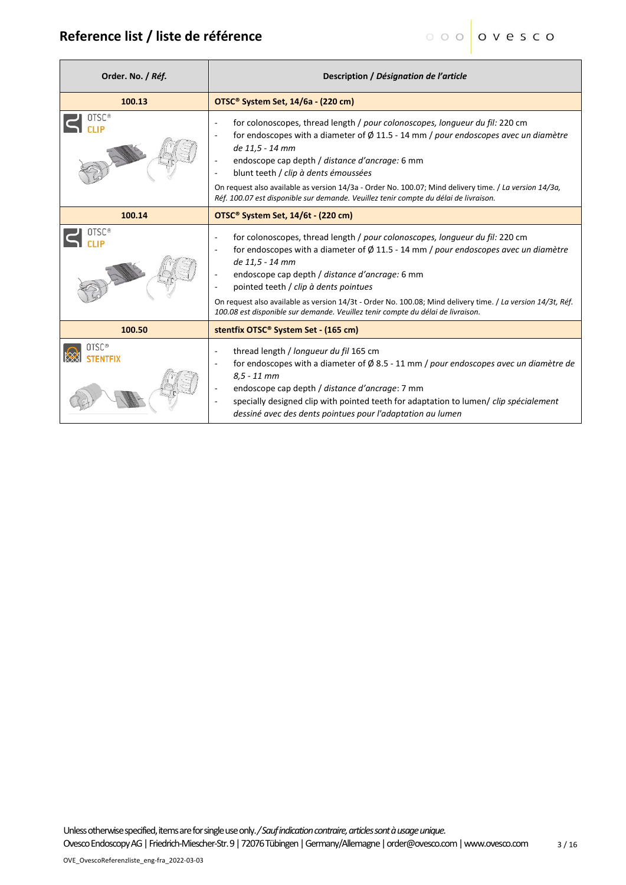| Order. No. / Réf. | Description / Désignation de l'article                                                                                                                                                                                                                                                                                                                                                                                                                                                                                                |  |
|-------------------|---------------------------------------------------------------------------------------------------------------------------------------------------------------------------------------------------------------------------------------------------------------------------------------------------------------------------------------------------------------------------------------------------------------------------------------------------------------------------------------------------------------------------------------|--|
| 100.13            | OTSC <sup>®</sup> System Set, 14/6a - (220 cm)                                                                                                                                                                                                                                                                                                                                                                                                                                                                                        |  |
|                   | for colonoscopes, thread length / pour colonoscopes, longueur du fil: 220 cm<br>ä,<br>for endoscopes with a diameter of $\varnothing$ 11.5 - 14 mm / pour endoscopes avec un diamètre<br>۰<br>de 11,5 - 14 mm<br>endoscope cap depth / distance d'ancrage: 6 mm<br>۰<br>blunt teeth / clip à dents émoussées<br>٠<br>On request also available as version 14/3a - Order No. 100.07; Mind delivery time. / La version 14/3a,<br>Réf. 100.07 est disponible sur demande. Veuillez tenir compte du délai de livraison.                   |  |
| 100.14            | OTSC <sup>®</sup> System Set, 14/6t - (220 cm)                                                                                                                                                                                                                                                                                                                                                                                                                                                                                        |  |
| <b>OTSC®</b>      | for colonoscopes, thread length / pour colonoscopes, longueur du fil: 220 cm<br>÷<br>for endoscopes with a diameter of $\varnothing$ 11.5 - 14 mm / pour endoscopes avec un diamètre<br>de 11,5 - 14 mm<br>endoscope cap depth / distance d'ancrage: 6 mm<br>$\overline{\phantom{a}}$<br>pointed teeth / clip à dents pointues<br>۰<br>On request also available as version 14/3t - Order No. 100.08; Mind delivery time. / La version 14/3t, Réf.<br>100.08 est disponible sur demande. Veuillez tenir compte du délai de livraison. |  |
| 100.50            | stentfix OTSC <sup>®</sup> System Set - (165 cm)                                                                                                                                                                                                                                                                                                                                                                                                                                                                                      |  |
| 0TSC®             | thread length / longueur du fil 165 cm<br>۰<br>for endoscopes with a diameter of $\emptyset$ 8.5 - 11 mm / pour endoscopes avec un diamètre de<br>$8,5 - 11$ mm<br>endoscope cap depth / distance d'ancrage: 7 mm<br>specially designed clip with pointed teeth for adaptation to lumen/ clip spécialement<br>dessiné avec des dents pointues pour l'adaptation au lumen                                                                                                                                                              |  |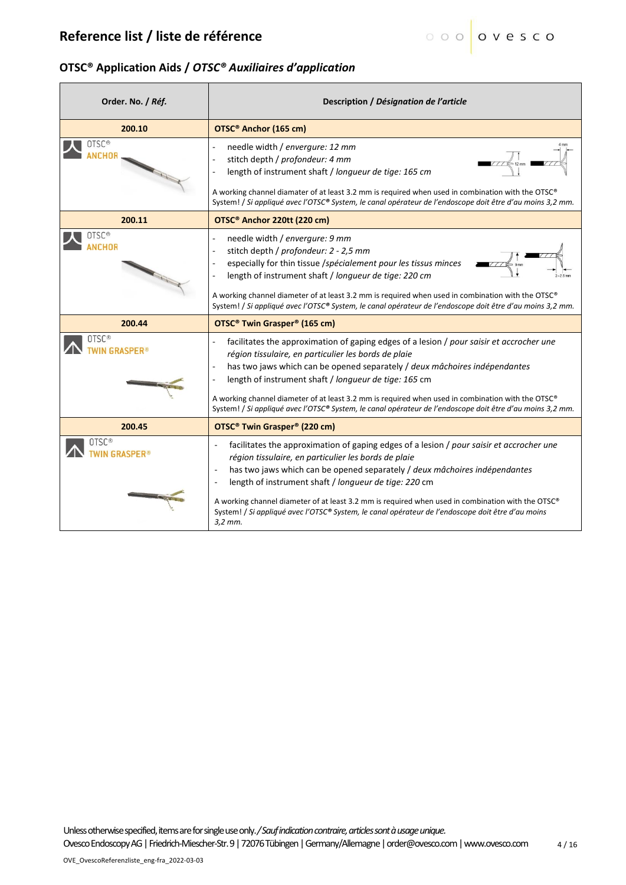#### **OTSC® Application Aids /** *OTSC® Auxiliaires d'application*

| Order. No. / Réf.                      | Description / Désignation de l'article                                                                                                                                                                                                                                                                                                                                                                                                                                                                                                       |
|----------------------------------------|----------------------------------------------------------------------------------------------------------------------------------------------------------------------------------------------------------------------------------------------------------------------------------------------------------------------------------------------------------------------------------------------------------------------------------------------------------------------------------------------------------------------------------------------|
| 200.10                                 | OTSC <sup>®</sup> Anchor (165 cm)                                                                                                                                                                                                                                                                                                                                                                                                                                                                                                            |
| OTSC <sup>®</sup><br><b>\NCHOR</b>     | needle width / envergure: 12 mm<br>stitch depth / profondeur: 4 mm<br>length of instrument shaft / longueur de tige: 165 cm<br>A working channel diamater of at least 3.2 mm is required when used in combination with the OTSC®<br>System! / Si appliqué avec l'OTSC® System, le canal opérateur de l'endoscope doit être d'au moins 3,2 mm.                                                                                                                                                                                                |
| 200.11                                 | OTSC <sup>®</sup> Anchor 220tt (220 cm)                                                                                                                                                                                                                                                                                                                                                                                                                                                                                                      |
| OTSC <sup>®</sup><br>NCHOR             | needle width / envergure: 9 mm<br>stitch depth / profondeur: 2 - 2,5 mm<br>especially for thin tissue /spécialement pour les tissus minces<br>length of instrument shaft / longueur de tige: 220 cm<br>A working channel diameter of at least 3.2 mm is required when used in combination with the OTSC®<br>System! / Si appliqué avec l'OTSC® System, le canal opérateur de l'endoscope doit être d'au moins 3,2 mm.                                                                                                                        |
| 200.44                                 | OTSC <sup>®</sup> Twin Grasper <sup>®</sup> (165 cm)                                                                                                                                                                                                                                                                                                                                                                                                                                                                                         |
| OTSC®                                  | facilitates the approximation of gaping edges of a lesion / pour saisir et accrocher une<br>région tissulaire, en particulier les bords de plaie<br>has two jaws which can be opened separately / deux mâchoires indépendantes<br>length of instrument shaft / longueur de tige: 165 cm<br>A working channel diameter of at least 3.2 mm is required when used in combination with the OTSC®<br>System! / Si appliqué avec l'OTSC® System, le canal opérateur de l'endoscope doit être d'au moins 3,2 mm.                                    |
| 200.45                                 | OTSC <sup>®</sup> Twin Grasper <sup>®</sup> (220 cm)                                                                                                                                                                                                                                                                                                                                                                                                                                                                                         |
| OTSC <sup>®</sup><br><b>N GRASPER®</b> | facilitates the approximation of gaping edges of a lesion / pour saisir et accrocher une<br>÷,<br>région tissulaire, en particulier les bords de plaie<br>has two jaws which can be opened separately / deux mâchoires indépendantes<br>$\overline{a}$<br>length of instrument shaft / longueur de tige: 220 cm<br>÷,<br>A working channel diameter of at least 3.2 mm is required when used in combination with the OTSC®<br>System! / Si appliqué avec l'OTSC® System, le canal opérateur de l'endoscope doit être d'au moins<br>$3.2$ mm. |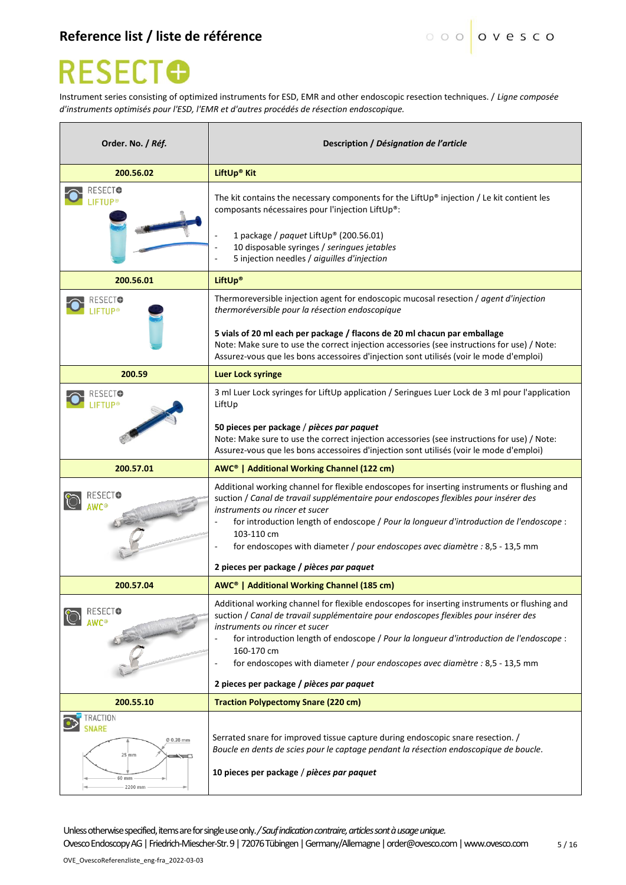# **RESECTO**

Instrument series consisting of optimized instruments for ESD, EMR and other endoscopic resection techniques. / *Ligne composée d'instruments optimisés pour l'ESD, l'EMR et d'autres procédés de résection endoscopique.*

| Order. No. / Réf.                                                                     | Description / Désignation de l'article                                                                                                                                                                                                                                                                                                                                                                                                                                                          |
|---------------------------------------------------------------------------------------|-------------------------------------------------------------------------------------------------------------------------------------------------------------------------------------------------------------------------------------------------------------------------------------------------------------------------------------------------------------------------------------------------------------------------------------------------------------------------------------------------|
| 200.56.02                                                                             | LiftUp <sup>®</sup> Kit                                                                                                                                                                                                                                                                                                                                                                                                                                                                         |
| ESECTO                                                                                | The kit contains the necessary components for the Lift Up® injection / Le kit contient les<br>composants nécessaires pour l'injection LiftUp®:<br>1 package / paquet LiftUp® (200.56.01)<br>10 disposable syringes / seringues jetables<br>÷,<br>5 injection needles / aiguilles d'injection                                                                                                                                                                                                    |
| 200.56.01                                                                             | <b>LiftUp®</b>                                                                                                                                                                                                                                                                                                                                                                                                                                                                                  |
|                                                                                       | Thermoreversible injection agent for endoscopic mucosal resection / agent d'injection<br>thermoréversible pour la résection endoscopique<br>5 vials of 20 ml each per package / flacons de 20 ml chacun par emballage<br>Note: Make sure to use the correct injection accessories (see instructions for use) / Note:<br>Assurez-vous que les bons accessoires d'injection sont utilisés (voir le mode d'emploi)                                                                                 |
| 200.59                                                                                | <b>Luer Lock syringe</b>                                                                                                                                                                                                                                                                                                                                                                                                                                                                        |
|                                                                                       | 3 ml Luer Lock syringes for LiftUp application / Seringues Luer Lock de 3 ml pour l'application<br>LiftUp                                                                                                                                                                                                                                                                                                                                                                                       |
|                                                                                       | 50 pieces per package / pièces par paquet<br>Note: Make sure to use the correct injection accessories (see instructions for use) / Note:<br>Assurez-vous que les bons accessoires d'injection sont utilisés (voir le mode d'emploi)                                                                                                                                                                                                                                                             |
| 200.57.01                                                                             | AWC <sup>®</sup>   Additional Working Channel (122 cm)                                                                                                                                                                                                                                                                                                                                                                                                                                          |
|                                                                                       | Additional working channel for flexible endoscopes for inserting instruments or flushing and<br>suction / Canal de travail supplémentaire pour endoscopes flexibles pour insérer des<br>instruments ou rincer et sucer<br>for introduction length of endoscope / Pour la longueur d'introduction de l'endoscope :<br>103-110 cm<br>for endoscopes with diameter / pour endoscopes avec diamètre : 8,5 - 13,5 mm                                                                                 |
|                                                                                       | 2 pieces per package / pièces par paquet                                                                                                                                                                                                                                                                                                                                                                                                                                                        |
| 200.57.04                                                                             | AWC <sup>®</sup>   Additional Working Channel (185 cm)                                                                                                                                                                                                                                                                                                                                                                                                                                          |
| RESECTO                                                                               | Additional working channel for flexible endoscopes for inserting instruments or flushing and<br>suction / Canal de travail supplémentaire pour endoscopes flexibles pour insérer des<br>instruments ou rincer et sucer<br>for introduction length of endoscope / Pour la longueur d'introduction de l'endoscope :<br>$\overline{a}$<br>160-170 cm<br>for endoscopes with diameter / pour endoscopes avec diamètre : 8,5 - 13,5 mm<br>$\blacksquare$<br>2 pieces per package / pièces par paquet |
| 200.55.10                                                                             | <b>Traction Polypectomy Snare (220 cm)</b>                                                                                                                                                                                                                                                                                                                                                                                                                                                      |
| TRACTION<br><b>SNARE</b><br>0 0.38 mm<br>$25$ <sub>mm</sub><br>$\Rightarrow$<br>60 mm | Serrated snare for improved tissue capture during endoscopic snare resection. /<br>Boucle en dents de scies pour le captage pendant la résection endoscopique de boucle.<br>10 pieces per package / pièces par paquet                                                                                                                                                                                                                                                                           |

Unless otherwise specified, items are for single use only.*/ Sauf indication contraire, articles sont à usage unique.*

OvescoEndoscopy AG | Friedrich-Miescher-Str. 9 | 72076 Tübingen | Germany/Allemagne | order@ovesco.com | www.ovesco.com  $5/16$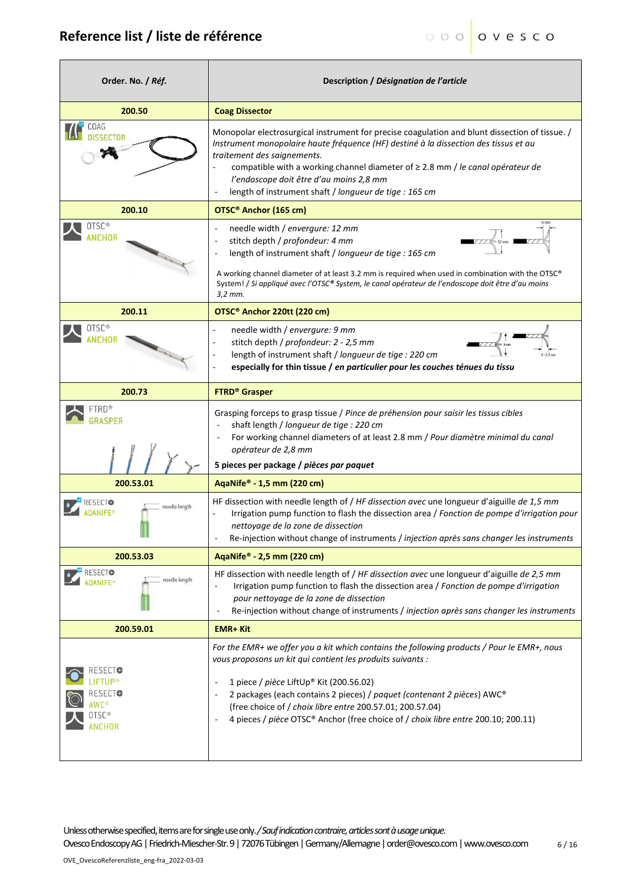| Order. No. / Réf.                                                               | Description / Désignation de l'article                                                                                                                                                                                                                                                                                                                                                                                                                                              |
|---------------------------------------------------------------------------------|-------------------------------------------------------------------------------------------------------------------------------------------------------------------------------------------------------------------------------------------------------------------------------------------------------------------------------------------------------------------------------------------------------------------------------------------------------------------------------------|
| 200.50                                                                          | <b>Coag Dissector</b>                                                                                                                                                                                                                                                                                                                                                                                                                                                               |
| OAG                                                                             | Monopolar electrosurgical instrument for precise coagulation and blunt dissection of tissue. /<br>Instrument monopolaire haute fréquence (HF) destiné à la dissection des tissus et au<br>traitement des saignements.<br>compatible with a working channel diameter of $\geq$ 2.8 mm / le canal opérateur de<br>l'endoscope doit être d'au moins 2,8 mm<br>length of instrument shaft / longueur de tige : 165 cm                                                                   |
| 200.10                                                                          | OTSC <sup>®</sup> Anchor (165 cm)                                                                                                                                                                                                                                                                                                                                                                                                                                                   |
| OTSC <sup>®</sup><br>ANCHOR                                                     | needle width / envergure: 12 mm<br>$\overline{a}$<br>stitch depth / profondeur: 4 mm<br>$\overline{\phantom{a}}$<br>length of instrument shaft / longueur de tige : 165 cm<br>÷,<br>A working channel diameter of at least 3.2 mm is required when used in combination with the OTSC®<br>System! / Si appliqué avec l'OTSC® System, le canal opérateur de l'endoscope doit être d'au moins<br>$3.2$ mm.                                                                             |
| 200.11                                                                          | OTSC <sup>®</sup> Anchor 220tt (220 cm)                                                                                                                                                                                                                                                                                                                                                                                                                                             |
| OTSC®                                                                           | needle width / envergure: 9 mm<br>÷<br>stitch depth / profondeur: 2 - 2,5 mm<br>÷<br>length of instrument shaft / longueur de tige : 220 cm<br>especially for thin tissue / en particulier pour les couches ténues du tissu                                                                                                                                                                                                                                                         |
| 200.73                                                                          | <b>FTRD® Grasper</b>                                                                                                                                                                                                                                                                                                                                                                                                                                                                |
| ™RD®                                                                            | Grasping forceps to grasp tissue / Pince de préhension pour saisir les tissus cibles<br>shaft length / longueur de tige : 220 cm<br>For working channel diameters of at least 2.8 mm / Pour diamètre minimal du canal<br>opérateur de 2,8 mm<br>5 pieces per package / pièces par paquet                                                                                                                                                                                            |
| 200.53.01                                                                       | AqaNife® - 1,5 mm (220 cm)                                                                                                                                                                                                                                                                                                                                                                                                                                                          |
| needle lenath                                                                   | HF dissection with needle length of / HF dissection avec une longueur d'aiguille de 1,5 mm<br>Irrigation pump function to flash the dissection area / Fonction de pompe d'irrigation pour<br>nettoyage de la zone de dissection<br>Re-injection without change of instruments / injection après sans changer les instruments                                                                                                                                                        |
| 200.53.03                                                                       | AqaNife® - 2,5 mm (220 cm)                                                                                                                                                                                                                                                                                                                                                                                                                                                          |
| RESECTO<br>needle length<br><b>DANIFE®</b>                                      | HF dissection with needle length of / HF dissection avec une longueur d'aiguille de 2,5 mm<br>Irrigation pump function to flash the dissection area / Fonction de pompe d'irrigation<br>pour nettoyage de la zone de dissection<br>Re-injection without change of instruments / injection après sans changer les instruments                                                                                                                                                        |
| 200.59.01                                                                       | <b>EMR+ Kit</b>                                                                                                                                                                                                                                                                                                                                                                                                                                                                     |
| RESECTO<br>IFT∐P®<br>RESECT <del>O</del><br>AWC®<br>OTSC <sup>®</sup><br>ANCHOR | For the EMR+ we offer you a kit which contains the following products / Pour le EMR+, nous<br>vous proposons un kit qui contient les produits suivants :<br>1 piece / pièce LiftUp® Kit (200.56.02)<br>$\overline{a}$<br>2 packages (each contains 2 pieces) / paquet (contenant 2 pièces) AWC®<br>÷,<br>(free choice of / choix libre entre 200.57.01; 200.57.04)<br>4 pieces / pièce OTSC® Anchor (free choice of / choix libre entre 200.10; 200.11)<br>$\overline{\phantom{a}}$ |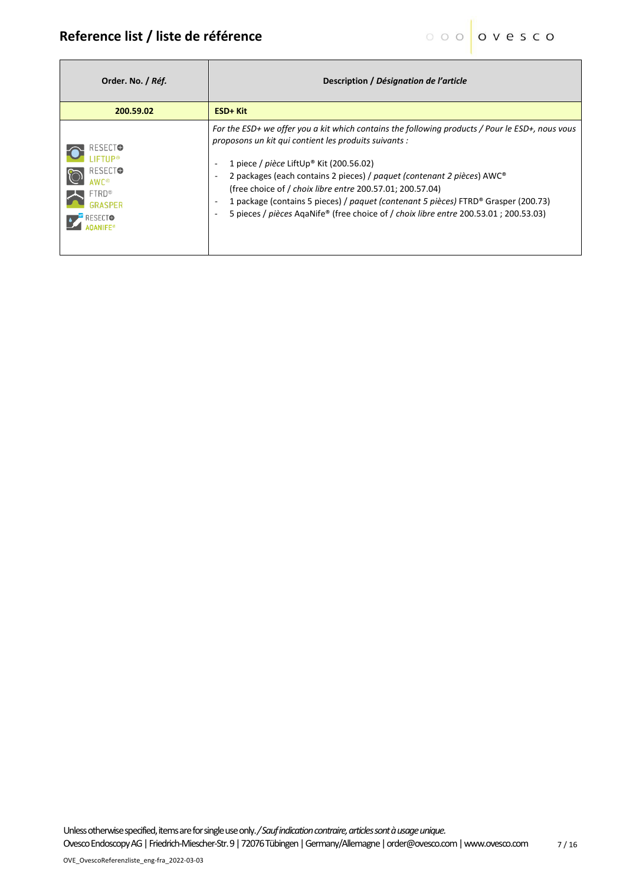| Order. No. / Réf.                                                                                        | Description / Désignation de l'article                                                                                                                                                                                                                                                                                                                                                                                                                                                                                                                                                                                                   |
|----------------------------------------------------------------------------------------------------------|------------------------------------------------------------------------------------------------------------------------------------------------------------------------------------------------------------------------------------------------------------------------------------------------------------------------------------------------------------------------------------------------------------------------------------------------------------------------------------------------------------------------------------------------------------------------------------------------------------------------------------------|
| 200.59.02                                                                                                | ESD+ Kit                                                                                                                                                                                                                                                                                                                                                                                                                                                                                                                                                                                                                                 |
| RESECTO<br><b>IFTUP®</b><br>RESECTO<br><b>AWC®</b><br><b>FTRD®</b><br><b>GRASPER</b><br><b>E</b> RESECTO | For the ESD+ we offer you a kit which contains the following products / Pour le ESD+, nous vous<br>proposons un kit qui contient les produits suivants :<br>1 piece / pièce LiftUp® Kit (200.56.02)<br>$\overline{\phantom{a}}$<br>2 packages (each contains 2 pieces) / paquet (contenant 2 pièces) AWC®<br>$\overline{\phantom{a}}$<br>(free choice of / choix libre entre 200.57.01; 200.57.04)<br>1 package (contains 5 pieces) / paquet (contenant 5 pièces) FTRD® Grasper (200.73)<br>$\overline{\phantom{a}}$<br>5 pieces / pièces AgaNife® (free choice of / choix libre entre 200.53.01; 200.53.03)<br>$\overline{\phantom{a}}$ |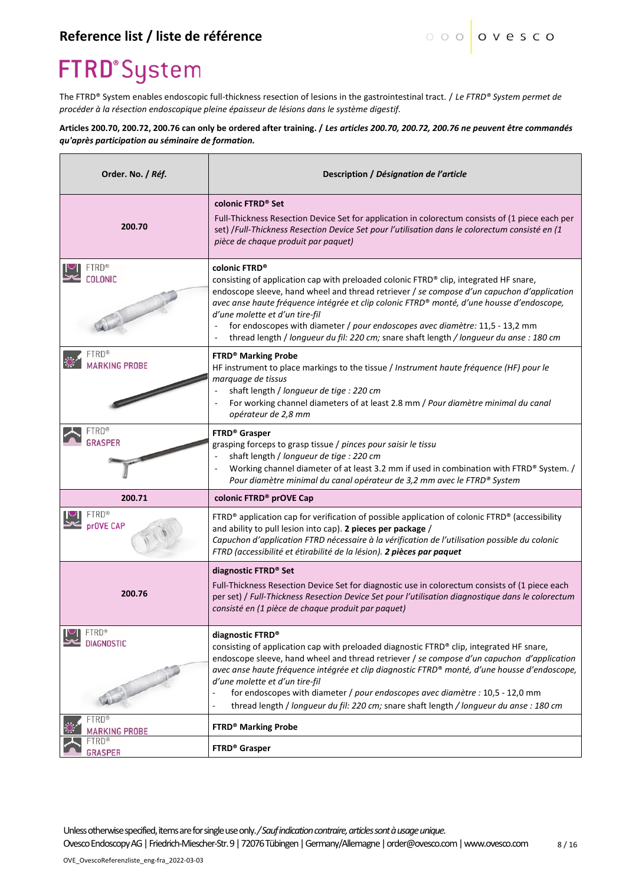### **FTRD**°System

The FTRD® System enables endoscopic full-thickness resection of lesions in the gastrointestinal tract. / *Le FTRD® System permet de procéder à la résection endoscopique pleine épaisseur de lésions dans le système digestif.*

**Articles 200.70, 200.72, 200.76 can only be ordered after training. /** *Les articles 200.70, 200.72, 200.76 ne peuvent être commandés qu'après participation au séminaire de formation.*

| Order. No. / Réf.                    | Description / Désignation de l'article                                                                                                                                                                                                                                                                                                                                                                                                                                                                                                                       |  |
|--------------------------------------|--------------------------------------------------------------------------------------------------------------------------------------------------------------------------------------------------------------------------------------------------------------------------------------------------------------------------------------------------------------------------------------------------------------------------------------------------------------------------------------------------------------------------------------------------------------|--|
| 200.70                               | colonic FTRD <sup>®</sup> Set<br>Full-Thickness Resection Device Set for application in colorectum consists of (1 piece each per<br>set) /Full-Thickness Resection Device Set pour l'utilisation dans le colorectum consisté en (1<br>pièce de chaque produit par paquet)                                                                                                                                                                                                                                                                                    |  |
| OL ONIC                              | colonic FTRD <sup>®</sup><br>consisting of application cap with preloaded colonic FTRD® clip, integrated HF snare,<br>endoscope sleeve, hand wheel and thread retriever / se compose d'un capuchon d'application<br>avec anse haute fréquence intégrée et clip colonic FTRD® monté, d'une housse d'endoscope,<br>d'une molette et d'un tire-fil<br>for endoscopes with diameter / pour endoscopes avec diamètre: 11,5 - 13,2 mm<br>thread length / longueur du fil: 220 cm; snare shaft length / longueur du anse : 180 cm                                   |  |
| <b>ARKING PROBE</b>                  | <b>FTRD® Marking Probe</b><br>HF instrument to place markings to the tissue / Instrument haute fréquence (HF) pour le<br>marquage de tissus<br>shaft length / longueur de tige : 220 cm<br>$\overline{\phantom{a}}$<br>For working channel diameters of at least 2.8 mm / Pour diamètre minimal du canal<br>opérateur de 2,8 mm                                                                                                                                                                                                                              |  |
| <b>RASPER</b>                        | FTRD <sup>®</sup> Grasper<br>grasping forceps to grasp tissue / pinces pour saisir le tissu<br>shaft length / longueur de tige : 220 cm<br>Working channel diameter of at least 3.2 mm if used in combination with FTRD® System. /<br>Pour diamètre minimal du canal opérateur de 3,2 mm avec le FTRD® System                                                                                                                                                                                                                                                |  |
| 200.71                               | colonic FTRD <sup>®</sup> prOVE Cap                                                                                                                                                                                                                                                                                                                                                                                                                                                                                                                          |  |
| <b>FTRD®</b><br>prOVE CAP            | FTRD® application cap for verification of possible application of colonic $\text{FTRD}^{\otimes}$ (accessibility<br>and ability to pull lesion into cap). 2 pieces per package /<br>Capuchon d'application FTRD nécessaire à la vérification de l'utilisation possible du colonic<br>FTRD (accessibilité et étirabilité de la lésion). 2 pièces par paquet                                                                                                                                                                                                   |  |
| 200.76                               | diagnostic FTRD <sup>®</sup> Set<br>Full-Thickness Resection Device Set for diagnostic use in colorectum consists of (1 piece each<br>per set) / Full-Thickness Resection Device Set pour l'utilisation diagnostique dans le colorectum<br>consisté en (1 pièce de chaque produit par paquet)                                                                                                                                                                                                                                                                |  |
| FTRD®<br><b>DIAGNOSTIC</b>           | diagnostic FTRD®<br>consisting of application cap with preloaded diagnostic FTRD® clip, integrated HF snare,<br>endoscope sleeve, hand wheel and thread retriever / se compose d'un capuchon d'application<br>avec anse haute fréquence intégrée et clip diagnostic FTRD® monté, d'une housse d'endoscope,<br>d'une molette et d'un tire-fil<br>for endoscopes with diameter / pour endoscopes avec diamètre : 10,5 - 12,0 mm<br>$\overline{a}$<br>thread length / longueur du fil: 220 cm; snare shaft length / longueur du anse : 180 cm<br>$\blacksquare$ |  |
| <b>FTRD®</b><br><b>MARKING PROBE</b> | <b>FTRD® Marking Probe</b>                                                                                                                                                                                                                                                                                                                                                                                                                                                                                                                                   |  |
| ™TRD®<br><b>GRASPER</b>              | FTRD <sup>®</sup> Grasper                                                                                                                                                                                                                                                                                                                                                                                                                                                                                                                                    |  |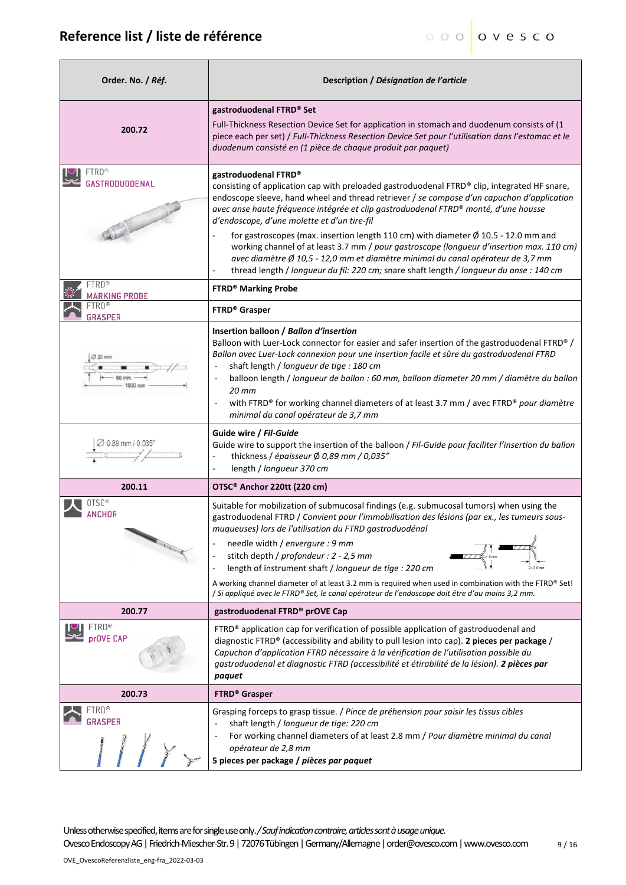| Order. No. / Réf.                    | Description / Désignation de l'article                                                                                                                                                                                                                                                                                                                                                                                                                                                                                                                                                                  |  |
|--------------------------------------|---------------------------------------------------------------------------------------------------------------------------------------------------------------------------------------------------------------------------------------------------------------------------------------------------------------------------------------------------------------------------------------------------------------------------------------------------------------------------------------------------------------------------------------------------------------------------------------------------------|--|
| 200.72                               | gastroduodenal FTRD® Set<br>Full-Thickness Resection Device Set for application in stomach and duodenum consists of (1<br>piece each per set) / Full-Thickness Resection Device Set pour l'utilisation dans l'estomac et le<br>duodenum consisté en (1 pièce de chaque produit par paquet)                                                                                                                                                                                                                                                                                                              |  |
| FTRD®<br>GASTRODUODENAL              | gastroduodenal FTRD®<br>consisting of application cap with preloaded gastroduodenal FTRD® clip, integrated HF snare,<br>endoscope sleeve, hand wheel and thread retriever / se compose d'un capuchon d'application<br>avec anse haute fréquence intégrée et clip gastroduodenal FTRD® monté, d'une housse<br>d'endoscope, d'une molette et d'un tire-fil                                                                                                                                                                                                                                                |  |
|                                      | for gastroscopes (max. insertion length 110 cm) with diameter $\varnothing$ 10.5 - 12.0 mm and<br>working channel of at least 3.7 mm / pour gastroscope (longueur d'insertion max. 110 cm)<br>avec diamètre Ø 10,5 - 12,0 mm et diamètre minimal du canal opérateur de 3,7 mm<br>thread length / longueur du fil: 220 cm; snare shaft length / longueur du anse : 140 cm                                                                                                                                                                                                                                |  |
| <b>FTRD®</b><br><b>MARKING PROBE</b> | <b>FTRD® Marking Probe</b>                                                                                                                                                                                                                                                                                                                                                                                                                                                                                                                                                                              |  |
| FTRD®<br>GRASPER                     | <b>FTRD®</b> Grasper                                                                                                                                                                                                                                                                                                                                                                                                                                                                                                                                                                                    |  |
|                                      | Insertion balloon / Ballon d'insertion<br>Balloon with Luer-Lock connector for easier and safer insertion of the gastroduodenal FTRD® /<br>Ballon avec Luer-Lock connexion pour une insertion facile et sûre du gastroduodenal FTRD<br>shaft length / longueur de tige : 180 cm<br>balloon length / longueur de ballon : 60 mm, balloon diameter 20 mm / diamètre du ballon<br>$20$ mm<br>with FTRD® for working channel diameters of at least 3.7 mm / avec FTRD® pour diamètre<br>$\overline{\phantom{a}}$<br>minimal du canal opérateur de 3,7 mm                                                    |  |
| $0.89$ mm $/ 0.035$                  | Guide wire / Fil-Guide<br>Guide wire to support the insertion of the balloon / Fil-Guide pour faciliter l'insertion du ballon<br>thickness / épaisseur Ø 0,89 mm / 0,035"<br>length / longueur 370 cm                                                                                                                                                                                                                                                                                                                                                                                                   |  |
| 200.11                               | OTSC <sup>®</sup> Anchor 220tt (220 cm)                                                                                                                                                                                                                                                                                                                                                                                                                                                                                                                                                                 |  |
| ⊺SC®<br>ANCHOR                       | Suitable for mobilization of submucosal findings (e.g. submucosal tumors) when using the<br>gastroduodenal FTRD / Convient pour l'immobilisation des lésions (par ex., les tumeurs sous-<br>muqueuses) lors de l'utilisation du FTRD gastroduodénal<br>needle width / envergure : 9 mm<br>stitch depth / profondeur : 2 - 2,5 mm<br>length of instrument shaft / longueur de tige : 220 cm<br>A working channel diameter of at least 3.2 mm is required when used in combination with the FTRD® Set!<br>/ Si appliqué avec le FTRD® Set, le canal opérateur de l'endoscope doit être d'au moins 3,2 mm. |  |
| 200.77                               | gastroduodenal FTRD® prOVE Cap                                                                                                                                                                                                                                                                                                                                                                                                                                                                                                                                                                          |  |
| <b>TERD®</b><br>prOVE CAP            | FTRD® application cap for verification of possible application of gastroduodenal and<br>diagnostic FTRD® (accessibility and ability to pull lesion into cap). 2 pieces per package /<br>Capuchon d'application FTRD nécessaire à la vérification de l'utilisation possible du<br>gastroduodenal et diagnostic FTRD (accessibilité et étirabilité de la lésion). 2 pièces par<br>paquet                                                                                                                                                                                                                  |  |
| 200.73                               | <b>FTRD® Grasper</b>                                                                                                                                                                                                                                                                                                                                                                                                                                                                                                                                                                                    |  |
| TRD®<br><b>GRASPER</b>               | Grasping forceps to grasp tissue. / Pince de préhension pour saisir les tissus cibles<br>shaft length / longueur de tige: 220 cm<br>For working channel diameters of at least 2.8 mm / Pour diamètre minimal du canal<br>opérateur de 2,8 mm<br>5 pieces per package / pièces par paquet                                                                                                                                                                                                                                                                                                                |  |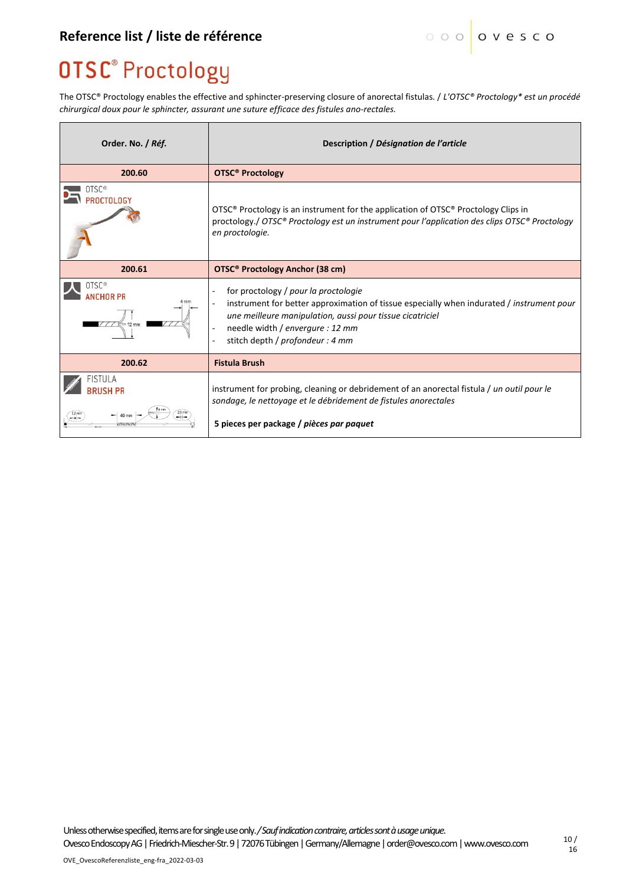### **OTSC® Proctology**

The OTSC® Proctology enables the effective and sphincter-preserving closure of anorectal fistulas. / *L'OTSC® Proctology\* est un procédé chirurgical doux pour le sphincter, assurant une suture efficace des fistules ano-rectales.*

| Order. No. / Réf.               | Description / Désignation de l'article                                                                                                                                                                                                                                 |
|---------------------------------|------------------------------------------------------------------------------------------------------------------------------------------------------------------------------------------------------------------------------------------------------------------------|
| 200.60                          | <b>OTSC<sup>®</sup> Proctology</b>                                                                                                                                                                                                                                     |
| 0TSC <sup>®</sup><br>PROCTOLOGY | OTSC® Proctology is an instrument for the application of OTSC® Proctology Clips in<br>proctology./ OTSC® Proctology est un instrument pour l'application des clips OTSC® Proctology<br>en proctologie.                                                                 |
| 200.61                          | <b>OTSC® Proctology Anchor (38 cm)</b>                                                                                                                                                                                                                                 |
| OTSC®<br><b><i>NCHOR PR</i></b> | for proctology / pour la proctologie<br>instrument for better approximation of tissue especially when indurated / instrument pour<br>une meilleure manipulation, aussi pour tissue cicatriciel<br>needle width / envergure : 12 mm<br>stitch depth / profondeur : 4 mm |
| 200.62                          | <b>Fistula Brush</b>                                                                                                                                                                                                                                                   |
| FISTUI A<br><b>BRUSH PR</b>     | instrument for probing, cleaning or debridement of an anorectal fistula / un outil pour le<br>sondage, le nettoyage et le débridement de fistules anorectales<br>5 pieces per package / pièces par paquet                                                              |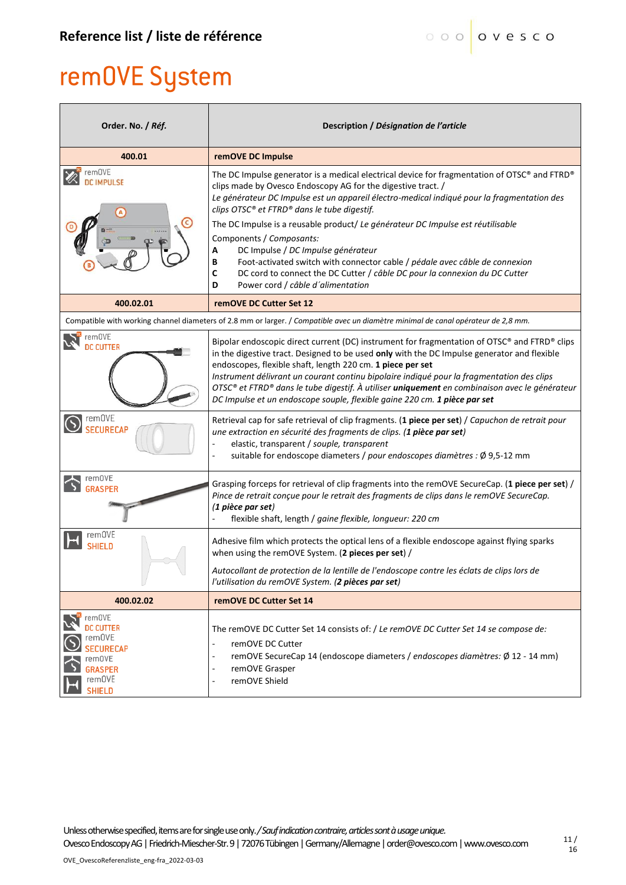# remOVE System

| Order. No. / Réf.                                                                                       | Description / Désignation de l'article                                                                                                                                                                                                                                                                                                                                                                                                                                                                                                                                                                                                                                               |  |
|---------------------------------------------------------------------------------------------------------|--------------------------------------------------------------------------------------------------------------------------------------------------------------------------------------------------------------------------------------------------------------------------------------------------------------------------------------------------------------------------------------------------------------------------------------------------------------------------------------------------------------------------------------------------------------------------------------------------------------------------------------------------------------------------------------|--|
| 400.01                                                                                                  | remOVE DC Impulse                                                                                                                                                                                                                                                                                                                                                                                                                                                                                                                                                                                                                                                                    |  |
| remOVE<br><b>DC IMPULSE</b>                                                                             | The DC Impulse generator is a medical electrical device for fragmentation of OTSC® and FTRD®<br>clips made by Ovesco Endoscopy AG for the digestive tract. /<br>Le générateur DC Impulse est un appareil électro-medical indiqué pour la fragmentation des<br>clips OTSC® et FTRD® dans le tube digestif.<br>The DC Impulse is a reusable product/ Le générateur DC Impulse est réutilisable<br>Components / Composants:<br>DC Impulse / DC Impulse générateur<br>А<br>Foot-activated switch with connector cable / pédale avec câble de connexion<br>В<br>С<br>DC cord to connect the DC Cutter / câble DC pour la connexion du DC Cutter<br>Power cord / câble d'alimentation<br>D |  |
| 400.02.01                                                                                               | remOVE DC Cutter Set 12                                                                                                                                                                                                                                                                                                                                                                                                                                                                                                                                                                                                                                                              |  |
|                                                                                                         | Compatible with working channel diameters of 2.8 mm or larger. / Compatible avec un diamètre minimal de canal opérateur de 2,8 mm.                                                                                                                                                                                                                                                                                                                                                                                                                                                                                                                                                   |  |
| remOVE<br><b>DC CUTTER</b>                                                                              | Bipolar endoscopic direct current (DC) instrument for fragmentation of OTSC® and FTRD® clips<br>in the digestive tract. Designed to be used only with the DC Impulse generator and flexible<br>endoscopes, flexible shaft, length 220 cm. 1 piece per set<br>Instrument délivrant un courant continu bipolaire indiqué pour la fragmentation des clips<br>OTSC® et FTRD® dans le tube digestif. À utiliser <b>uniquement</b> en combinaison avec le générateur<br>DC Impulse et un endoscope souple, flexible gaine 220 cm. 1 pièce par set                                                                                                                                          |  |
| $\bigcirc$ remove<br><b>SECURECAP</b>                                                                   | Retrieval cap for safe retrieval of clip fragments. (1 piece per set) / Capuchon de retrait pour<br>une extraction en sécurité des fragments de clips. (1 pièce par set)<br>elastic, transparent / souple, transparent<br>suitable for endoscope diameters / pour endoscopes diamètres : Ø 9,5-12 mm<br>÷,                                                                                                                                                                                                                                                                                                                                                                           |  |
| remOVE<br><b>GRASPER</b>                                                                                | Grasping forceps for retrieval of clip fragments into the remOVE SecureCap. (1 piece per set) /<br>Pince de retrait conçue pour le retrait des fragments de clips dans le remOVE SecureCap.<br>(1 pièce par set)<br>flexible shaft, length / gaine flexible, longueur: 220 cm                                                                                                                                                                                                                                                                                                                                                                                                        |  |
| remOVE<br><b>SHIELD</b>                                                                                 | Adhesive film which protects the optical lens of a flexible endoscope against flying sparks<br>when using the remOVE System. (2 pieces per set) /<br>Autocollant de protection de la lentille de l'endoscope contre les éclats de clips lors de                                                                                                                                                                                                                                                                                                                                                                                                                                      |  |
|                                                                                                         | l'utilisation du remOVE System. (2 pièces par set)                                                                                                                                                                                                                                                                                                                                                                                                                                                                                                                                                                                                                                   |  |
| 400.02.02                                                                                               | remOVE DC Cutter Set 14                                                                                                                                                                                                                                                                                                                                                                                                                                                                                                                                                                                                                                                              |  |
| remOVE<br>DC CUTTER<br>rem0VE<br><b>SECURECAP</b><br>rem0VE<br><b>RASPER</b><br>remOVE<br><b>SHIELD</b> | The remOVE DC Cutter Set 14 consists of: / Le remOVE DC Cutter Set 14 se compose de:<br>remOVE DC Cutter<br>remOVE SecureCap 14 (endoscope diameters / endoscopes diamètres: Ø 12 - 14 mm)<br>$\overline{\phantom{a}}$<br>remOVE Grasper<br>$\overline{\phantom{a}}$<br>remOVE Shield<br>٠                                                                                                                                                                                                                                                                                                                                                                                           |  |

Unless otherwise specified, items are for single use only.*/ Sauf indication contraire, articles sont à usage unique.*

OvescoEndoscopy AG | Friedrich-Miescher-Str. 9 | 72076 Tübingen | Germany/Allemagne | order@ovesco.com | www.ovesco.com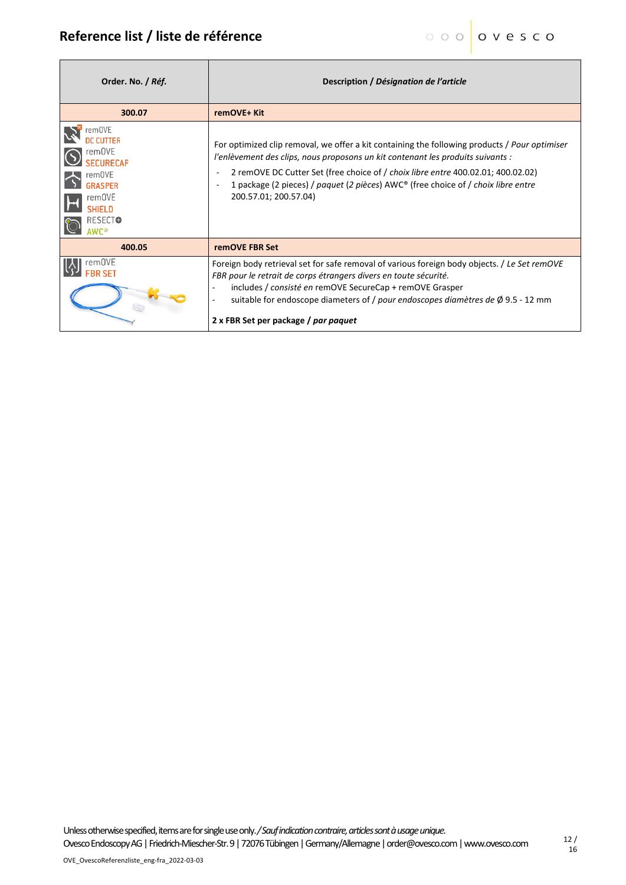$\mathbf{r}$ 

Ť.

| Order. No. / Réf.                                                                                             | Description / Désignation de l'article                                                                                                                                                                                                                                                                                                                                             |
|---------------------------------------------------------------------------------------------------------------|------------------------------------------------------------------------------------------------------------------------------------------------------------------------------------------------------------------------------------------------------------------------------------------------------------------------------------------------------------------------------------|
| 300.07                                                                                                        | remOVE+ Kit                                                                                                                                                                                                                                                                                                                                                                        |
| remOVE<br>remOVE<br>SECURECAP<br>remOVE<br><b>GRASPER</b><br>remOVE<br><b>SHIELD</b><br><b>RESECTO</b><br>wr® | For optimized clip removal, we offer a kit containing the following products / Pour optimiser<br>l'enlèvement des clips, nous proposons un kit contenant les produits suivants :<br>2 remOVE DC Cutter Set (free choice of / choix libre entre 400.02.01; 400.02.02)<br>1 package (2 pieces) / paquet (2 pièces) AWC® (free choice of / choix libre entre<br>200.57.01; 200.57.04) |
| 400.05                                                                                                        | remOVE FBR Set                                                                                                                                                                                                                                                                                                                                                                     |
| remOVE                                                                                                        | Foreign body retrieval set for safe removal of various foreign body objects. / Le Set remOVE<br>FBR pour le retrait de corps étrangers divers en toute sécurité.<br>includes / consisté en remOVE SecureCap + remOVE Grasper<br>suitable for endoscope diameters of / pour endoscopes diamètres de $\emptyset$ 9.5 - 12 mm<br>2 x FBR Set per package / par paquet                 |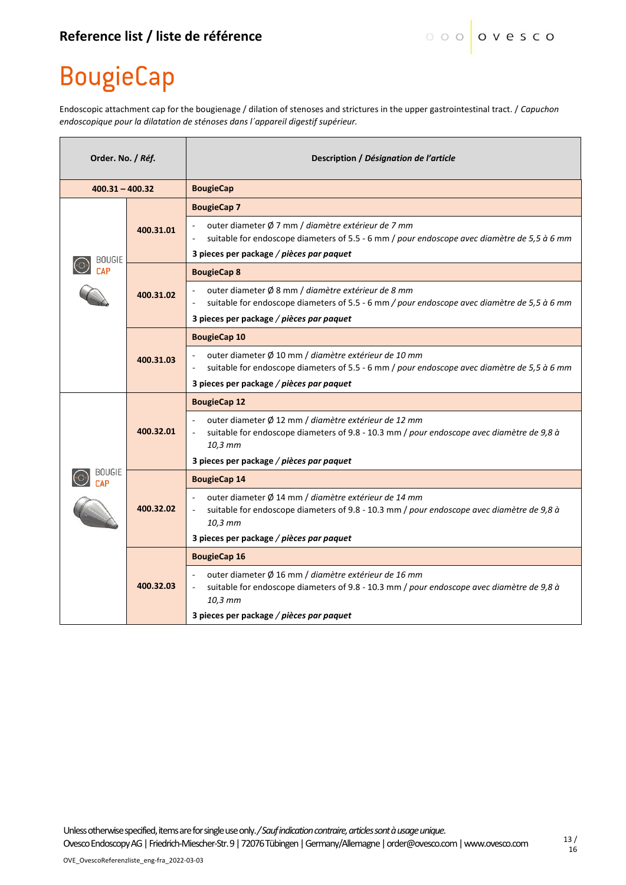## **BougieCap**

Endoscopic attachment cap for the bougienage / dilation of stenoses and strictures in the upper gastrointestinal tract. / *Capuchon endoscopique pour la dilatation de sténoses dans l´appareil digestif supérieur.*

| Order. No. / Réf. |           | Description / Désignation de l'article                                                                                                                       |
|-------------------|-----------|--------------------------------------------------------------------------------------------------------------------------------------------------------------|
| $400.31 - 400.32$ |           | <b>BougieCap</b>                                                                                                                                             |
| BOUGIE            | 400.31.01 | <b>BougieCap 7</b>                                                                                                                                           |
|                   |           | outer diameter Ø 7 mm / diamètre extérieur de 7 mm<br>suitable for endoscope diameters of 5.5 - 6 mm / pour endoscope avec diamètre de 5,5 à 6 mm            |
|                   |           | 3 pieces per package / pièces par paquet                                                                                                                     |
|                   | 400.31.02 | <b>BougieCap 8</b>                                                                                                                                           |
|                   |           | outer diameter Ø 8 mm / diamètre extérieur de 8 mm<br>suitable for endoscope diameters of 5.5 - 6 mm / pour endoscope avec diamètre de 5,5 à 6 mm            |
|                   |           | 3 pieces per package / pièces par paquet                                                                                                                     |
|                   |           | <b>BougieCap 10</b>                                                                                                                                          |
|                   | 400.31.03 | outer diameter Ø 10 mm / diamètre extérieur de 10 mm<br>suitable for endoscope diameters of 5.5 - 6 mm / pour endoscope avec diamètre de 5,5 à 6 mm          |
|                   |           | 3 pieces per package / pièces par paquet                                                                                                                     |
|                   |           | <b>BougieCap 12</b>                                                                                                                                          |
|                   | 400.32.01 | outer diameter Ø 12 mm / diamètre extérieur de 12 mm<br>suitable for endoscope diameters of 9.8 - 10.3 mm / pour endoscope avec diamètre de 9,8 à<br>10,3 mm |
|                   |           | 3 pieces per package / pièces par paquet                                                                                                                     |
| 30UGIE            | 400.32.02 | <b>BougieCap 14</b>                                                                                                                                          |
|                   |           | outer diameter Ø 14 mm / diamètre extérieur de 14 mm<br>suitable for endoscope diameters of 9.8 - 10.3 mm / pour endoscope avec diamètre de 9,8 à<br>10,3 mm |
|                   |           | 3 pieces per package / pièces par paquet                                                                                                                     |
|                   |           | <b>BougieCap 16</b>                                                                                                                                          |
|                   | 400.32.03 | outer diameter Ø 16 mm / diamètre extérieur de 16 mm<br>suitable for endoscope diameters of 9.8 - 10.3 mm / pour endoscope avec diamètre de 9,8 à<br>10,3 mm |
|                   |           | 3 pieces per package / pièces par paquet                                                                                                                     |

Unless otherwise specified, items are for single use only.*/ Sauf indication contraire, articles sont à usage unique.*

OvescoEndoscopy AG | Friedrich-Miescher-Str. 9 | 72076 Tübingen | Germany/Allemagne | order@ovesco.com | www.ovesco.com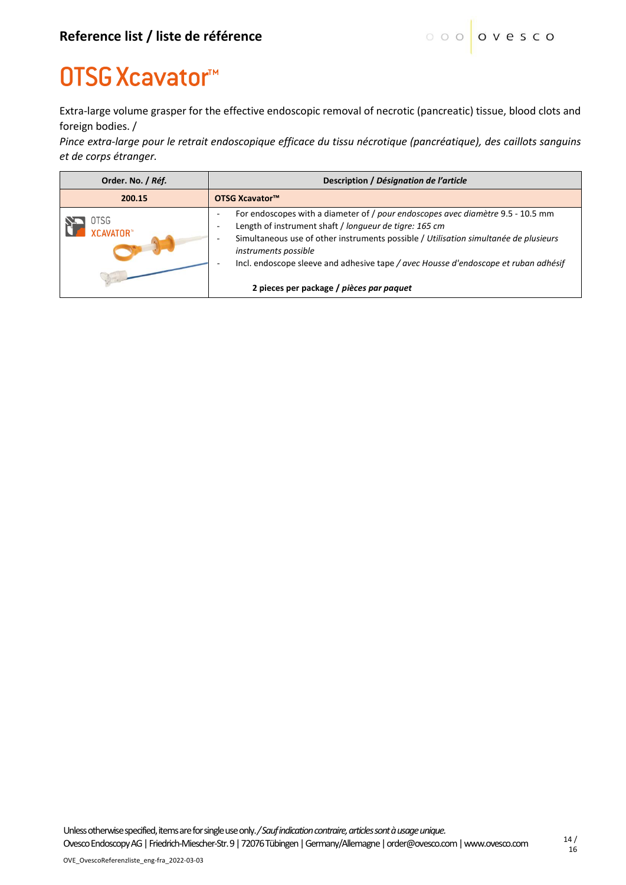## **OTSG Xcavator™**

Extra-large volume grasper for the effective endoscopic removal of necrotic (pancreatic) tissue, blood clots and foreign bodies. /

*Pince extra-large pour le retrait endoscopique efficace du tissu nécrotique (pancréatique), des caillots sanguins et de corps étranger.*

| Order. No. / Réf.        | Description / Désignation de l'article                                                                                                                                                                                                                                                                                                                                                                                   |  |
|--------------------------|--------------------------------------------------------------------------------------------------------------------------------------------------------------------------------------------------------------------------------------------------------------------------------------------------------------------------------------------------------------------------------------------------------------------------|--|
| 200.15                   | OTSG Xcavator™                                                                                                                                                                                                                                                                                                                                                                                                           |  |
| OTSG<br><b>XCAVATOR™</b> | For endoscopes with a diameter of / pour endoscopes avec diamètre 9.5 - 10.5 mm<br>Length of instrument shaft / longueur de tigre: 165 cm<br>$\overline{\phantom{0}}$<br>Simultaneous use of other instruments possible / Utilisation simultanée de plusieurs<br>instruments possible<br>Incl. endoscope sleeve and adhesive tape / avec Housse d'endoscope et ruban adhésif<br>2 pieces per package / pièces par paquet |  |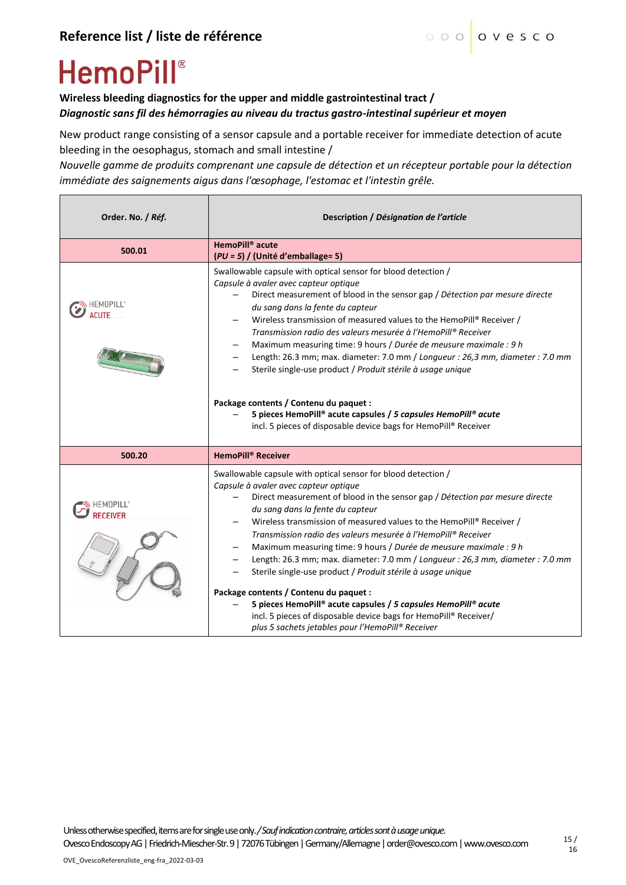# **HemoPill**®

#### **Wireless bleeding diagnostics for the upper and middle gastrointestinal tract /**  *Diagnostic sans fil des hémorragies au niveau du tractus gastro-intestinal supérieur et moyen*

New product range consisting of a sensor capsule and a portable receiver for immediate detection of acute bleeding in the oesophagus, stomach and small intestine /

*Nouvelle gamme de produits comprenant une capsule de détection et un récepteur portable pour la détection immédiate des saignements aigus dans l'œsophage, l'estomac et l'intestin grêle.* 

| Order. No. / Réf. | Description / Désignation de l'article                                                                                                                                                                                                                                                                                                                                                                                                                                                                                                                                                                                                                                                                                                                                                                                         |
|-------------------|--------------------------------------------------------------------------------------------------------------------------------------------------------------------------------------------------------------------------------------------------------------------------------------------------------------------------------------------------------------------------------------------------------------------------------------------------------------------------------------------------------------------------------------------------------------------------------------------------------------------------------------------------------------------------------------------------------------------------------------------------------------------------------------------------------------------------------|
| 500.01            | HemoPill <sup>®</sup> acute<br>$(PU = 5)$ / (Unité d'emballage= 5)                                                                                                                                                                                                                                                                                                                                                                                                                                                                                                                                                                                                                                                                                                                                                             |
| EMOPILL           | Swallowable capsule with optical sensor for blood detection /<br>Capsule à avaler avec capteur optique<br>Direct measurement of blood in the sensor gap / Détection par mesure directe<br>du sang dans la fente du capteur<br>Wireless transmission of measured values to the HemoPill® Receiver /<br>Transmission radio des valeurs mesurée à l'HemoPill® Receiver<br>Maximum measuring time: 9 hours / Durée de meusure maximale : 9 h<br>Length: 26.3 mm; max. diameter: 7.0 mm / Longueur: 26,3 mm, diameter: 7.0 mm<br>Sterile single-use product / Produit stérile à usage unique<br>Package contents / Contenu du paquet :<br>5 pieces HemoPill® acute capsules / 5 capsules HemoPill® acute<br>incl. 5 pieces of disposable device bags for HemoPill® Receiver                                                         |
| 500.20            | <b>HemoPill<sup>®</sup> Receiver</b>                                                                                                                                                                                                                                                                                                                                                                                                                                                                                                                                                                                                                                                                                                                                                                                           |
|                   | Swallowable capsule with optical sensor for blood detection /<br>Capsule à avaler avec capteur optique<br>Direct measurement of blood in the sensor gap / Détection par mesure directe<br>du sang dans la fente du capteur<br>Wireless transmission of measured values to the HemoPill® Receiver /<br>Transmission radio des valeurs mesurée à l'HemoPill® Receiver<br>Maximum measuring time: 9 hours / Durée de meusure maximale : 9 h<br>Length: 26.3 mm; max. diameter: 7.0 mm / Longueur : 26,3 mm, diameter : 7.0 mm<br>Sterile single-use product / Produit stérile à usage unique<br>Package contents / Contenu du paquet :<br>5 pieces HemoPill® acute capsules / 5 capsules HemoPill® acute<br>incl. 5 pieces of disposable device bags for HemoPill® Receiver/<br>plus 5 sachets jetables pour l'HemoPill® Receiver |

Unless otherwise specified, items are for single use only.*/ Sauf indication contraire, articles sont à usage unique.*

OvescoEndoscopy AG | Friedrich-Miescher-Str. 9 | 72076 Tübingen | Germany/Allemagne | order@ovesco.com | www.ovesco.com